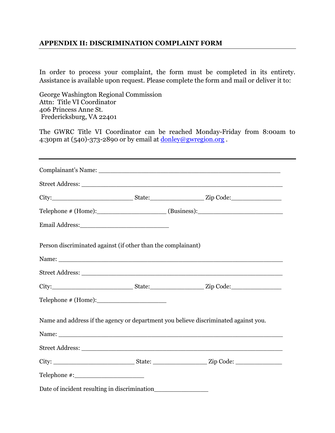## **APPENDIX II: DISCRIMINATION COMPLAINT FORM**

In order to process your complaint, the form must be completed in its entirety. Assistance is available upon request. Please complete the form and mail or deliver it to:

George Washington Regional Commission Attn: Title VI Coordinator 406 Princess Anne St. Fredericksburg, VA 22401

The GWRC Title VI Coordinator can be reached Monday-Friday from 8:00am to 4:30pm at  $(540)$ -373-2890 or by email at  $\frac{\text{donley@gwregion.org}}{\text{downegin.org}}$ .

|                                                              | $\text{Telephone} \# (\text{Home})$ : $\qquad \qquad \text{(Business):}$            |
|--------------------------------------------------------------|-------------------------------------------------------------------------------------|
|                                                              |                                                                                     |
| Person discriminated against (if other than the complainant) |                                                                                     |
|                                                              |                                                                                     |
|                                                              |                                                                                     |
|                                                              |                                                                                     |
|                                                              | Name and address if the agency or department you believe discriminated against you. |
|                                                              |                                                                                     |
|                                                              |                                                                                     |
|                                                              |                                                                                     |
|                                                              |                                                                                     |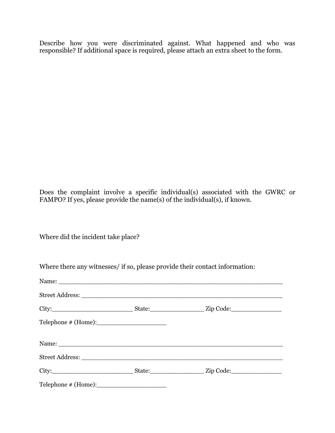Describe how you were discriminated against. What happened and who was responsible? If additional space is required, please attach an extra sheet to the form.

Does the complaint involve a specific individual(s) associated with the GWRC or FAMPO? If yes, please provide the name(s) of the individual(s), if known.

Where did the incident take place?

|  | $\text{Telephone} \# (\text{Home}) :$ |  |  |  |
|--|---------------------------------------|--|--|--|
|  |                                       |  |  |  |
|  |                                       |  |  |  |
|  |                                       |  |  |  |